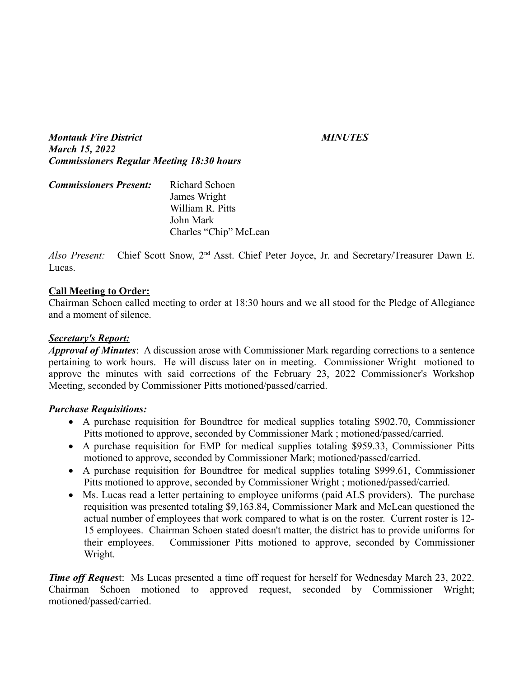*Montauk Fire District MINUTES March 15, 2022 Commissioners Regular Meeting 18:30 hours*

| <b>Commissioners Present:</b> | Richard Schoen        |
|-------------------------------|-----------------------|
|                               | James Wright          |
|                               | William R. Pitts      |
|                               | John Mark             |
|                               | Charles "Chip" McLean |

*Also Present:* Chief Scott Snow, 2nd Asst. Chief Peter Joyce, Jr. and Secretary/Treasurer Dawn E. Lucas.

#### **Call Meeting to Order:**

Chairman Schoen called meeting to order at 18:30 hours and we all stood for the Pledge of Allegiance and a moment of silence.

#### *Secretary's Report:*

*Approval of Minutes*: A discussion arose with Commissioner Mark regarding corrections to a sentence pertaining to work hours. He will discuss later on in meeting. Commissioner Wright motioned to approve the minutes with said corrections of the February 23, 2022 Commissioner's Workshop Meeting, seconded by Commissioner Pitts motioned/passed/carried.

#### *Purchase Requisitions:*

- A purchase requisition for Boundtree for medical supplies totaling \$902.70, Commissioner Pitts motioned to approve, seconded by Commissioner Mark ; motioned/passed/carried.
- A purchase requisition for EMP for medical supplies totaling \$959.33, Commissioner Pitts motioned to approve, seconded by Commissioner Mark; motioned/passed/carried.
- A purchase requisition for Boundtree for medical supplies totaling \$999.61, Commissioner Pitts motioned to approve, seconded by Commissioner Wright ; motioned/passed/carried.
- Ms. Lucas read a letter pertaining to employee uniforms (paid ALS providers). The purchase requisition was presented totaling \$9,163.84, Commissioner Mark and McLean questioned the actual number of employees that work compared to what is on the roster. Current roster is 12- 15 employees. Chairman Schoen stated doesn't matter, the district has to provide uniforms for their employees. Commissioner Pitts motioned to approve, seconded by Commissioner Wright.

*Time off Request:* Ms Lucas presented a time off request for herself for Wednesday March 23, 2022. Chairman Schoen motioned to approved request, seconded by Commissioner Wright; motioned/passed/carried.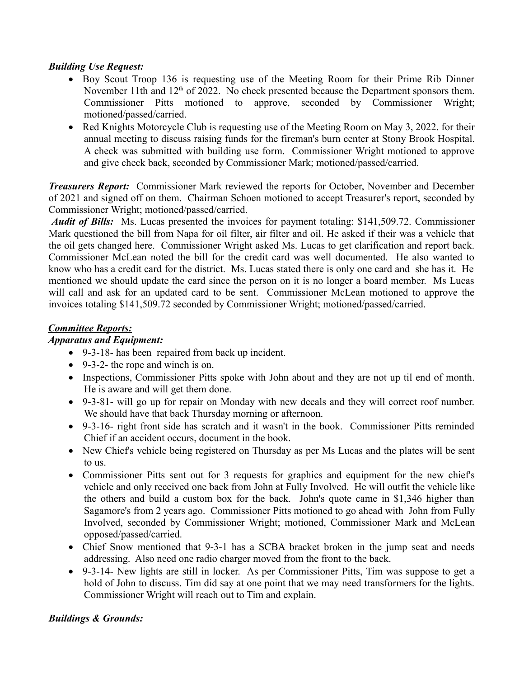### *Building Use Request:*

- Boy Scout Troop 136 is requesting use of the Meeting Room for their Prime Rib Dinner November 11th and  $12<sup>th</sup>$  of 2022. No check presented because the Department sponsors them. Commissioner Pitts motioned to approve, seconded by Commissioner Wright; motioned/passed/carried.
- Red Knights Motorcycle Club is requesting use of the Meeting Room on May 3, 2022. for their annual meeting to discuss raising funds for the fireman's burn center at Stony Brook Hospital. A check was submitted with building use form. Commissioner Wright motioned to approve and give check back, seconded by Commissioner Mark; motioned/passed/carried.

*Treasurers Report:* Commissioner Mark reviewed the reports for October, November and December of 2021 and signed off on them. Chairman Schoen motioned to accept Treasurer's report, seconded by Commissioner Wright; motioned/passed/carried.

 *Audit of Bills:* Ms. Lucas presented the invoices for payment totaling: \$141,509.72. Commissioner Mark questioned the bill from Napa for oil filter, air filter and oil. He asked if their was a vehicle that the oil gets changed here. Commissioner Wright asked Ms. Lucas to get clarification and report back. Commissioner McLean noted the bill for the credit card was well documented. He also wanted to know who has a credit card for the district. Ms. Lucas stated there is only one card and she has it. He mentioned we should update the card since the person on it is no longer a board member. Ms Lucas will call and ask for an updated card to be sent. Commissioner McLean motioned to approve the invoices totaling \$141,509.72 seconded by Commissioner Wright; motioned/passed/carried.

#### *Committee Reports:*

### *Apparatus and Equipment:*

- 9-3-18- has been repaired from back up incident.
- 9-3-2- the rope and winch is on.
- Inspections, Commissioner Pitts spoke with John about and they are not up til end of month. He is aware and will get them done.
- 9-3-81- will go up for repair on Monday with new decals and they will correct roof number. We should have that back Thursday morning or afternoon.
- 9-3-16- right front side has scratch and it wasn't in the book. Commissioner Pitts reminded Chief if an accident occurs, document in the book.
- New Chief's vehicle being registered on Thursday as per Ms Lucas and the plates will be sent to us.
- Commissioner Pitts sent out for 3 requests for graphics and equipment for the new chief's vehicle and only received one back from John at Fully Involved. He will outfit the vehicle like the others and build a custom box for the back. John's quote came in \$1,346 higher than Sagamore's from 2 years ago. Commissioner Pitts motioned to go ahead with John from Fully Involved, seconded by Commissioner Wright; motioned, Commissioner Mark and McLean opposed/passed/carried.
- Chief Snow mentioned that 9-3-1 has a SCBA bracket broken in the jump seat and needs addressing. Also need one radio charger moved from the front to the back.
- 9-3-14- New lights are still in locker. As per Commissioner Pitts, Tim was suppose to get a hold of John to discuss. Tim did say at one point that we may need transformers for the lights. Commissioner Wright will reach out to Tim and explain.

#### *Buildings & Grounds:*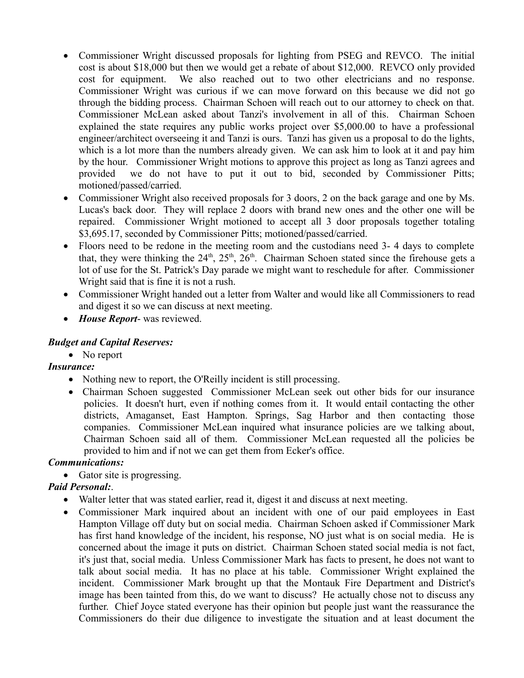- Commissioner Wright discussed proposals for lighting from PSEG and REVCO. The initial cost is about \$18,000 but then we would get a rebate of about \$12,000. REVCO only provided cost for equipment. We also reached out to two other electricians and no response. Commissioner Wright was curious if we can move forward on this because we did not go through the bidding process. Chairman Schoen will reach out to our attorney to check on that. Commissioner McLean asked about Tanzi's involvement in all of this. Chairman Schoen explained the state requires any public works project over \$5,000.00 to have a professional engineer/architect overseeing it and Tanzi is ours. Tanzi has given us a proposal to do the lights, which is a lot more than the numbers already given. We can ask him to look at it and pay him by the hour. Commissioner Wright motions to approve this project as long as Tanzi agrees and provided we do not have to put it out to bid, seconded by Commissioner Pitts; motioned/passed/carried.
- Commissioner Wright also received proposals for 3 doors, 2 on the back garage and one by Ms. Lucas's back door. They will replace 2 doors with brand new ones and the other one will be repaired. Commissioner Wright motioned to accept all 3 door proposals together totaling \$3,695.17, seconded by Commissioner Pitts; motioned/passed/carried.
- Floors need to be redone in the meeting room and the custodians need 3-4 days to complete that, they were thinking the  $24<sup>th</sup>$ ,  $25<sup>th</sup>$ ,  $26<sup>th</sup>$ . Chairman Schoen stated since the firehouse gets a lot of use for the St. Patrick's Day parade we might want to reschedule for after. Commissioner Wright said that is fine it is not a rush.
- Commissioner Wright handed out a letter from Walter and would like all Commissioners to read and digest it so we can discuss at next meeting.
- *House Report* was reviewed.

## *Budget and Capital Reserves:*

• No report

# *Insurance:*

- Nothing new to report, the O'Reilly incident is still processing.
- Chairman Schoen suggested Commissioner McLean seek out other bids for our insurance policies. It doesn't hurt, even if nothing comes from it. It would entail contacting the other districts, Amaganset, East Hampton. Springs, Sag Harbor and then contacting those companies. Commissioner McLean inquired what insurance policies are we talking about, Chairman Schoen said all of them. Commissioner McLean requested all the policies be provided to him and if not we can get them from Ecker's office.

## *Communications:*

• Gator site is progressing.

# *Paid Personal:*.

- Walter letter that was stated earlier, read it, digest it and discuss at next meeting.
- Commissioner Mark inquired about an incident with one of our paid employees in East Hampton Village off duty but on social media. Chairman Schoen asked if Commissioner Mark has first hand knowledge of the incident, his response, NO just what is on social media. He is concerned about the image it puts on district. Chairman Schoen stated social media is not fact, it's just that, social media. Unless Commissioner Mark has facts to present, he does not want to talk about social media. It has no place at his table. Commissioner Wright explained the incident. Commissioner Mark brought up that the Montauk Fire Department and District's image has been tainted from this, do we want to discuss? He actually chose not to discuss any further. Chief Joyce stated everyone has their opinion but people just want the reassurance the Commissioners do their due diligence to investigate the situation and at least document the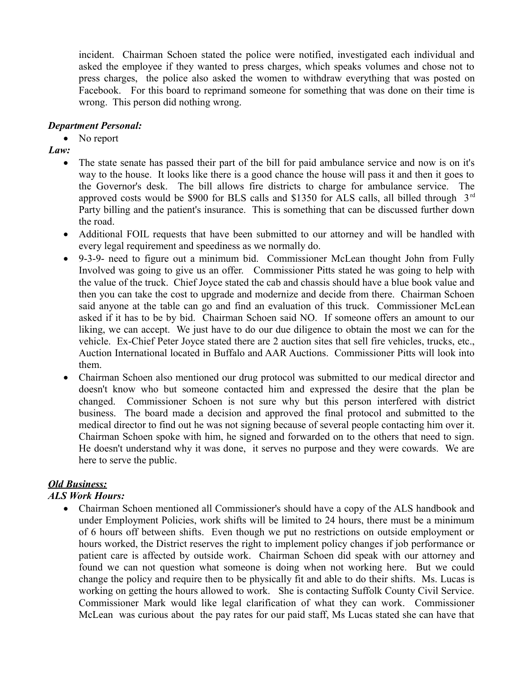incident. Chairman Schoen stated the police were notified, investigated each individual and asked the employee if they wanted to press charges, which speaks volumes and chose not to press charges, the police also asked the women to withdraw everything that was posted on Facebook. For this board to reprimand someone for something that was done on their time is wrong. This person did nothing wrong.

## *Department Personal:*

• No report

*Law:*

- The state senate has passed their part of the bill for paid ambulance service and now is on it's way to the house. It looks like there is a good chance the house will pass it and then it goes to the Governor's desk. The bill allows fire districts to charge for ambulance service. The approved costs would be \$900 for BLS calls and \$1350 for ALS calls, all billed through 3<sup>rd</sup> Party billing and the patient's insurance. This is something that can be discussed further down the road.
- Additional FOIL requests that have been submitted to our attorney and will be handled with every legal requirement and speediness as we normally do.
- 9-3-9- need to figure out a minimum bid. Commissioner McLean thought John from Fully Involved was going to give us an offer. Commissioner Pitts stated he was going to help with the value of the truck. Chief Joyce stated the cab and chassis should have a blue book value and then you can take the cost to upgrade and modernize and decide from there. Chairman Schoen said anyone at the table can go and find an evaluation of this truck. Commissioner McLean asked if it has to be by bid. Chairman Schoen said NO. If someone offers an amount to our liking, we can accept. We just have to do our due diligence to obtain the most we can for the vehicle. Ex-Chief Peter Joyce stated there are 2 auction sites that sell fire vehicles, trucks, etc., Auction International located in Buffalo and AAR Auctions. Commissioner Pitts will look into them.
- Chairman Schoen also mentioned our drug protocol was submitted to our medical director and doesn't know who but someone contacted him and expressed the desire that the plan be changed. Commissioner Schoen is not sure why but this person interfered with district business. The board made a decision and approved the final protocol and submitted to the medical director to find out he was not signing because of several people contacting him over it. Chairman Schoen spoke with him, he signed and forwarded on to the others that need to sign. He doesn't understand why it was done, it serves no purpose and they were cowards. We are here to serve the public.

# *Old Business:*

# *ALS Work Hours:*

• Chairman Schoen mentioned all Commissioner's should have a copy of the ALS handbook and under Employment Policies, work shifts will be limited to 24 hours, there must be a minimum of 6 hours off between shifts. Even though we put no restrictions on outside employment or hours worked, the District reserves the right to implement policy changes if job performance or patient care is affected by outside work. Chairman Schoen did speak with our attorney and found we can not question what someone is doing when not working here. But we could change the policy and require then to be physically fit and able to do their shifts. Ms. Lucas is working on getting the hours allowed to work. She is contacting Suffolk County Civil Service. Commissioner Mark would like legal clarification of what they can work. Commissioner McLean was curious about the pay rates for our paid staff, Ms Lucas stated she can have that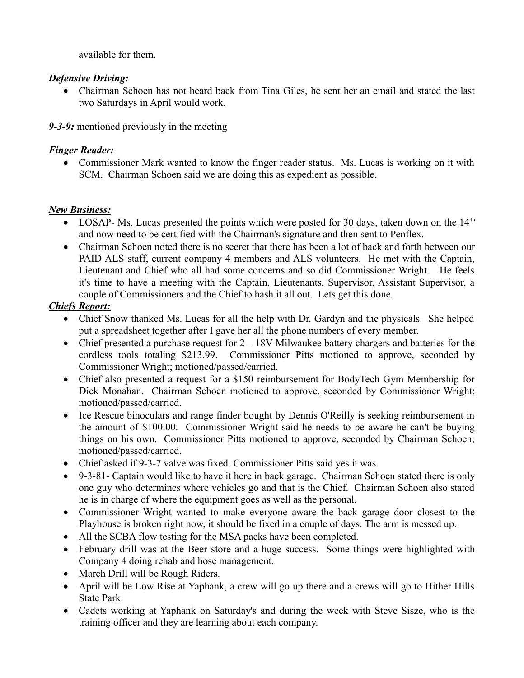available for them.

## *Defensive Driving:*

 Chairman Schoen has not heard back from Tina Giles, he sent her an email and stated the last two Saturdays in April would work.

*9-3-9:* mentioned previously in the meeting

## *Finger Reader:*

 Commissioner Mark wanted to know the finger reader status. Ms. Lucas is working on it with SCM. Chairman Schoen said we are doing this as expedient as possible.

# *New Business:*

- LOSAP- Ms. Lucas presented the points which were posted for 30 days, taken down on the  $14<sup>th</sup>$ and now need to be certified with the Chairman's signature and then sent to Penflex.
- Chairman Schoen noted there is no secret that there has been a lot of back and forth between our PAID ALS staff, current company 4 members and ALS volunteers. He met with the Captain, Lieutenant and Chief who all had some concerns and so did Commissioner Wright. He feels it's time to have a meeting with the Captain, Lieutenants, Supervisor, Assistant Supervisor, a couple of Commissioners and the Chief to hash it all out. Lets get this done.

# *Chiefs Report:*

- Chief Snow thanked Ms. Lucas for all the help with Dr. Gardyn and the physicals. She helped put a spreadsheet together after I gave her all the phone numbers of every member.
- Chief presented a purchase request for  $2 18V$  Milwaukee battery chargers and batteries for the cordless tools totaling \$213.99. Commissioner Pitts motioned to approve, seconded by Commissioner Wright; motioned/passed/carried.
- Chief also presented a request for a \$150 reimbursement for BodyTech Gym Membership for Dick Monahan. Chairman Schoen motioned to approve, seconded by Commissioner Wright; motioned/passed/carried.
- Ice Rescue binoculars and range finder bought by Dennis O'Reilly is seeking reimbursement in the amount of \$100.00. Commissioner Wright said he needs to be aware he can't be buying things on his own. Commissioner Pitts motioned to approve, seconded by Chairman Schoen; motioned/passed/carried.
- Chief asked if 9-3-7 valve was fixed. Commissioner Pitts said yes it was.
- 9-3-81- Captain would like to have it here in back garage. Chairman Schoen stated there is only one guy who determines where vehicles go and that is the Chief. Chairman Schoen also stated he is in charge of where the equipment goes as well as the personal.
- Commissioner Wright wanted to make everyone aware the back garage door closest to the Playhouse is broken right now, it should be fixed in a couple of days. The arm is messed up.
- All the SCBA flow testing for the MSA packs have been completed.
- February drill was at the Beer store and a huge success. Some things were highlighted with Company 4 doing rehab and hose management.
- March Drill will be Rough Riders.
- April will be Low Rise at Yaphank, a crew will go up there and a crews will go to Hither Hills State Park
- Cadets working at Yaphank on Saturday's and during the week with Steve Sisze, who is the training officer and they are learning about each company.